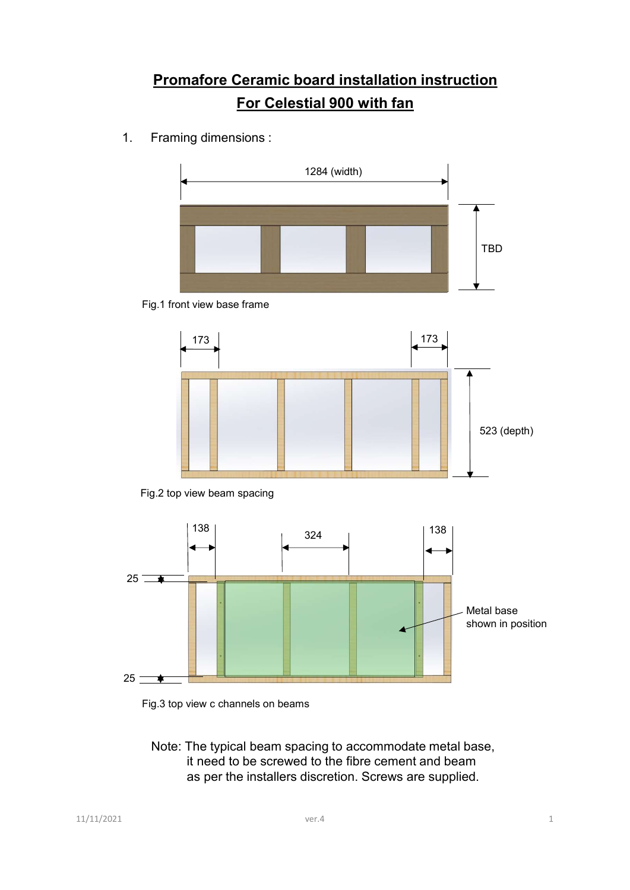# **Promafore Ceramic board installation instruction<br>For Celestial 900 with fan**<br>Framing dimensions : For Celestial 900 with fan











Fig.3 top view c channels on beams

Note: The typical beam spacing to accommodate metal base, it need to be screwed to the fibre cement and beam as per the installers discretion. Screws are supplied.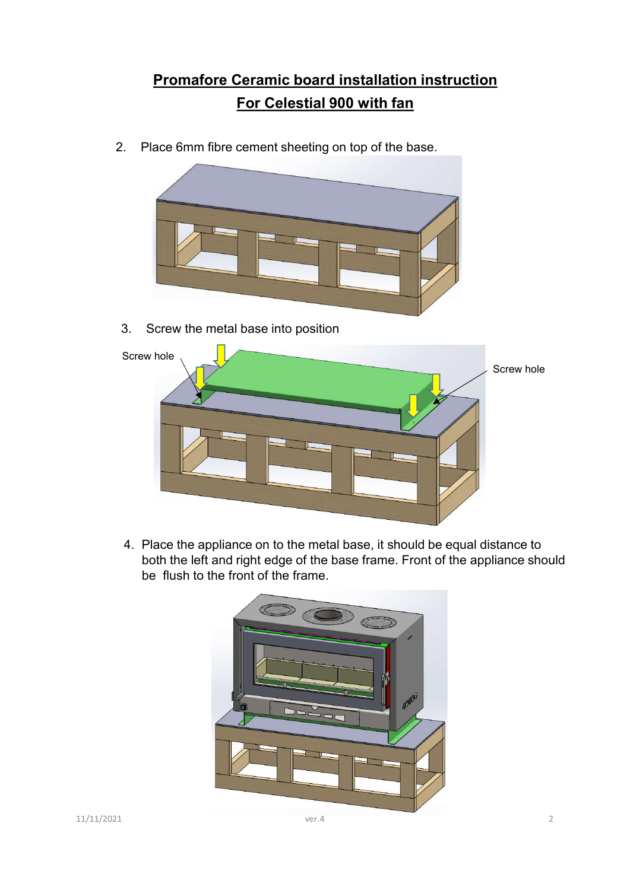# **Promafore Ceramic board installation instruction<br>For Celestial 900 with fan**<br>ace 6mm fibre cement sheeting on top of the base For Celestial 900 with fan

2. Place 6mm fibre cement sheeting on top of the base.



3. Screw the metal base into position



4. Place the appliance on to the metal base, it should be equal distance to both the left and right edge of the base frame. Front of the appliance should be flush to the front of the frame.

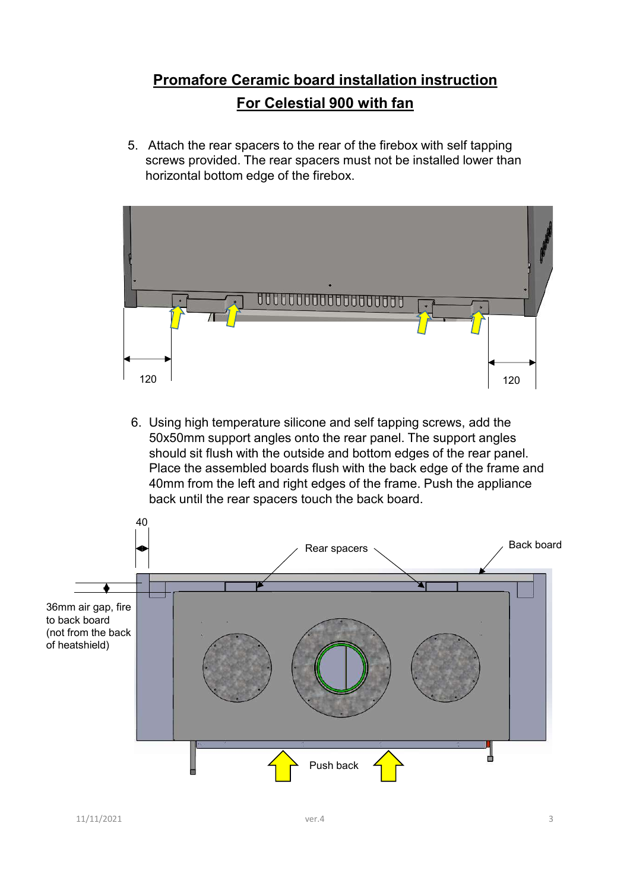# **Promafore Ceramic board installation instruction<br>For Celestial 900 with fan**<br>Attach the rear spacers to the rear of the firebox with self tapping For Celestial 900 with fan

5. Attach the rear spacers to the rear of the firebox with self tapping screws provided. The rear spacers must not be installed lower than horizontal bottom edge of the firebox.



6. Using high temperature silicone and self tapping screws, add the 50x50mm support angles onto the rear panel. The support angles should sit flush with the outside and bottom edges of the rear panel. Place the assembled boards flush with the back edge of the frame and 40mm from the left and right edges of the frame. Push the appliance back until the rear spacers touch the back board.

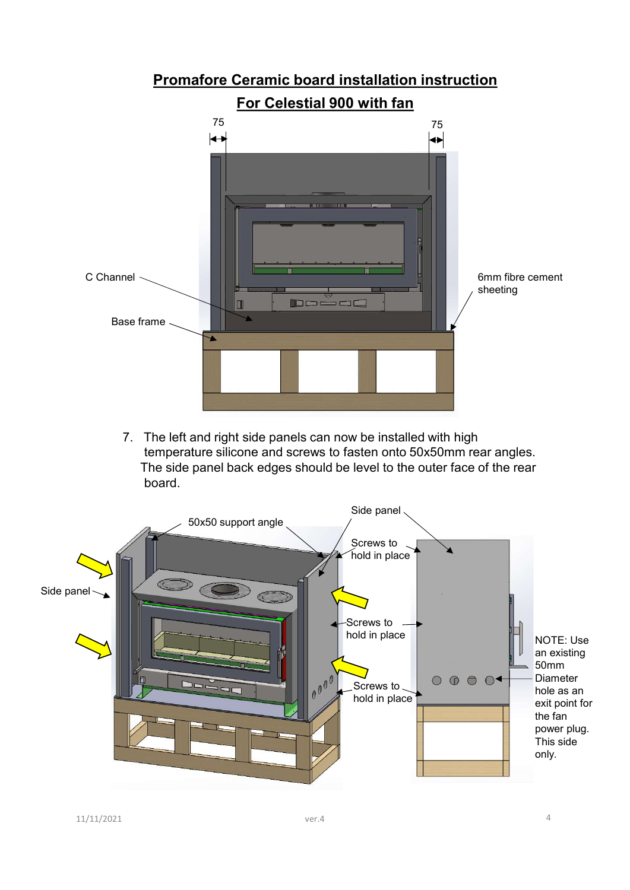

7. The left and right side panels can now be installed with high temperature silicone and screws to fasten onto 50x50mm rear angles. The side panel back edges should be level to the outer face of the rear board.

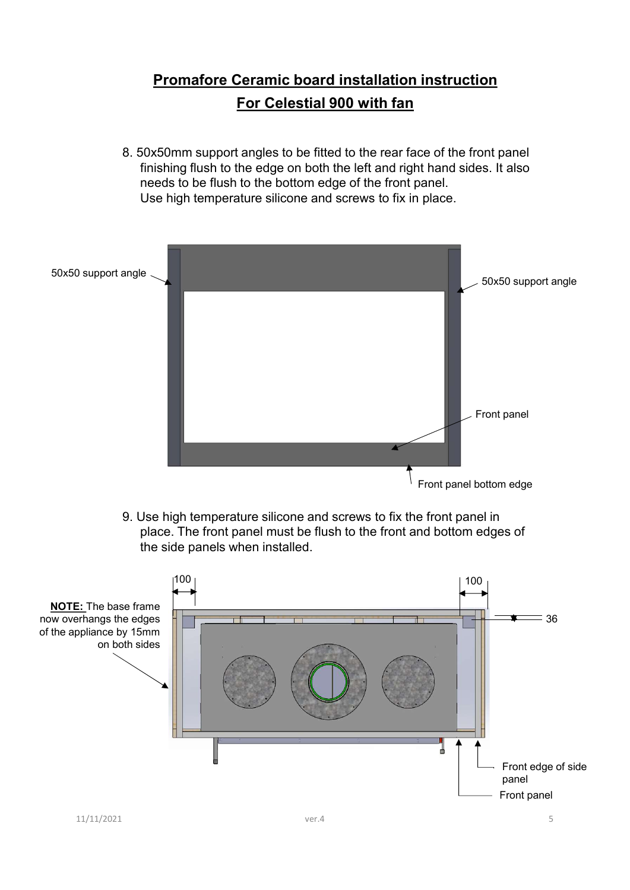# Promafore Ceramic board installation instruction<br>
For Celestial 900 with fan For Celestial 900 with fan

8. 50x50mm support angles to be fitted to the rear face of the front panel finishing flush to the edge on both the left and right hand sides. It also needs to be flush to the bottom edge of the front panel. Use high temperature silicone and screws to fix in place.



9. Use high temperature silicone and screws to fix the front panel in place. The front panel must be flush to the front and bottom edges of the side panels when installed.

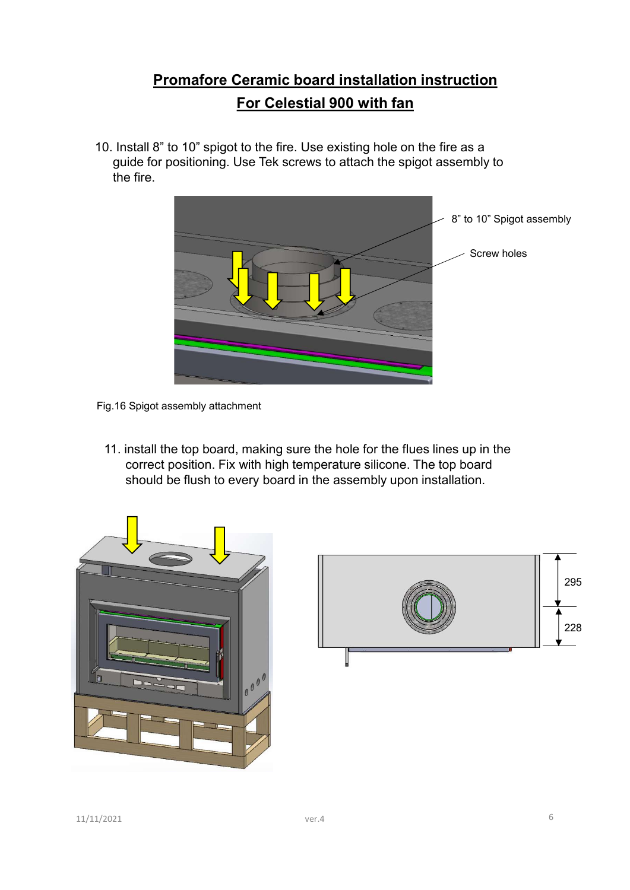# **Promafore Ceramic board installation instruction<br>For Celestial 900 with fan**<br>8" to 10" spigot to the fire. Use existing hole on the fire as a For Celestial 900 with fan

10. Install 8" to 10" spigot to the fire. Use existing hole on the fire as a guide for positioning. Use Tek screws to attach the spigot assembly to the fire.



Fig.16 Spigot assembly attachment

11. install the top board, making sure the hole for the flues lines up in the correct position. Fix with high temperature silicone. The top board should be flush to every board in the assembly upon installation.



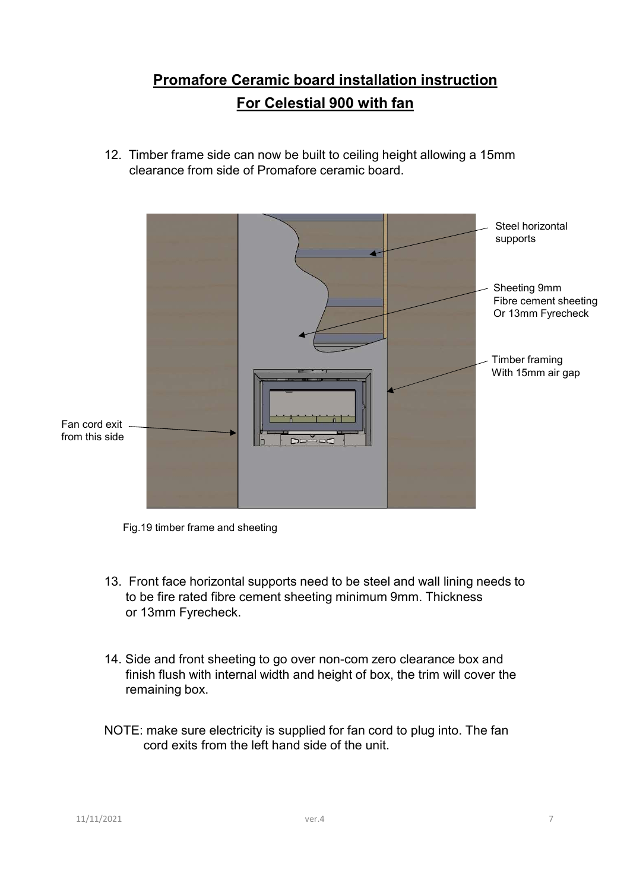# **Promafore Ceramic board installation instruction<br>For Celestial 900 with fan** For Celestial 900 with fan

12. Timber frame side can now be built to ceiling height allowing a 15mm



Fig.19 timber frame and sheeting

- 13. Front face horizontal supports need to be steel and wall lining needs to<br>to be fire rated fibre cement sheeting minimum 9mm. Thickness<br>or 13mm Fyrecheck.<br>14. Side and front sheeting to go over non-com zero clearance b 13. Front face horizontal supports need to be steel and wall lining needs to to be fire rated fibre cement sheeting minimum 9mm. Thickness or 13mm Fyrecheck.
	- 14. Side and front sheeting to go over non-com zero clearance box and finish flush with internal width and height of box, the trim will cover the remaining box.
	- NOTE: make sure electricity is supplied for fan cord to plug into. The fan cord exits from the left hand side of the unit.